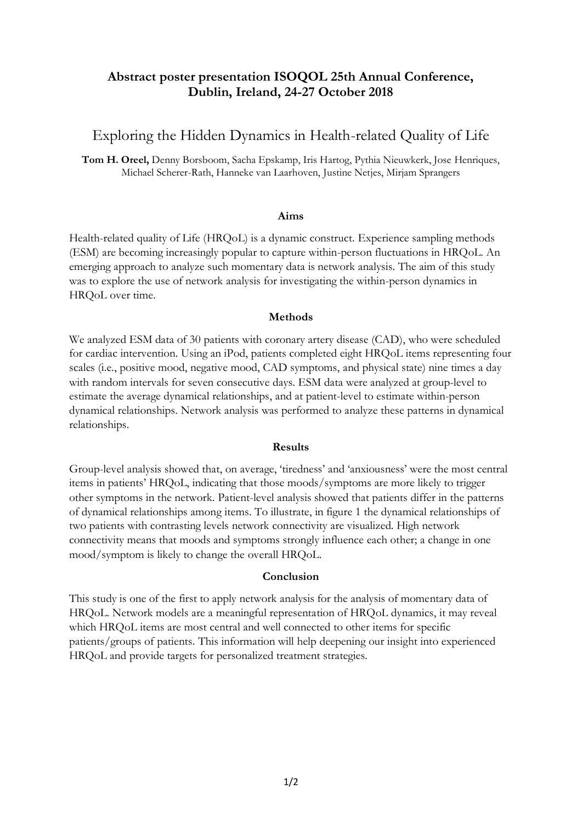## **Abstract poster presentation ISOQOL 25th Annual Conference, Dublin, Ireland, 24-27 October 2018**

# Exploring the Hidden Dynamics in Health-related Quality of Life

**Tom H. Oreel,** Denny Borsboom, Sacha Epskamp, Iris Hartog, Pythia Nieuwkerk, Jose Henriques, Michael Scherer-Rath, Hanneke van Laarhoven, Justine Netjes, Mirjam Sprangers

#### **Aims**

Health-related quality of Life (HRQoL) is a dynamic construct. Experience sampling methods (ESM) are becoming increasingly popular to capture within-person fluctuations in HRQoL. An emerging approach to analyze such momentary data is network analysis. The aim of this study was to explore the use of network analysis for investigating the within-person dynamics in HRQoL over time.

### **Methods**

We analyzed ESM data of 30 patients with coronary artery disease (CAD), who were scheduled for cardiac intervention. Using an iPod, patients completed eight HRQoL items representing four scales (i.e., positive mood, negative mood, CAD symptoms, and physical state) nine times a day with random intervals for seven consecutive days. ESM data were analyzed at group-level to estimate the average dynamical relationships, and at patient-level to estimate within-person dynamical relationships. Network analysis was performed to analyze these patterns in dynamical relationships.

### **Results**

Group-level analysis showed that, on average, 'tiredness' and 'anxiousness' were the most central items in patients' HRQoL, indicating that those moods/symptoms are more likely to trigger other symptoms in the network. Patient-level analysis showed that patients differ in the patterns of dynamical relationships among items. To illustrate, in figure 1 the dynamical relationships of two patients with contrasting levels network connectivity are visualized. High network connectivity means that moods and symptoms strongly influence each other; a change in one mood/symptom is likely to change the overall HRQoL.

### **Conclusion**

This study is one of the first to apply network analysis for the analysis of momentary data of HRQoL. Network models are a meaningful representation of HRQoL dynamics, it may reveal which HRQoL items are most central and well connected to other items for specific patients/groups of patients. This information will help deepening our insight into experienced HRQoL and provide targets for personalized treatment strategies.